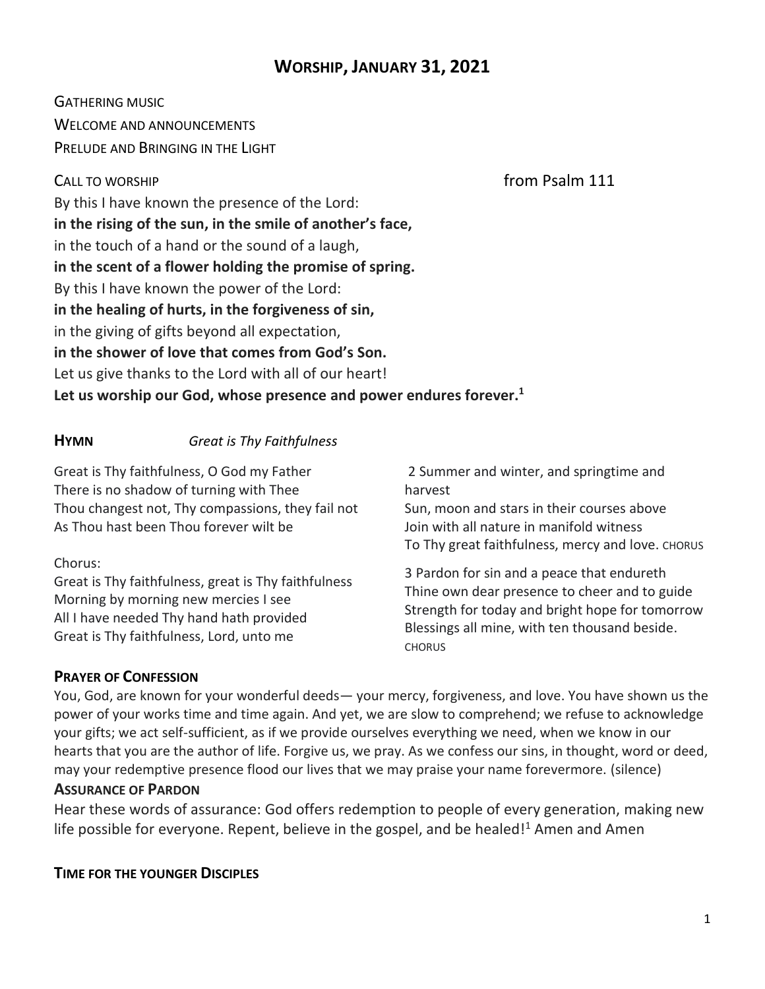# **WORSHIP, JANUARY 31, 2021**

GATHERING MUSIC WELCOME AND ANNOUNCEMENTS PRELUDE AND BRINGING IN THE LIGHT

CALL TO WORSHIP **CALL TO WORSHIP** 

By this I have known the presence of the Lord: **in the rising of the sun, in the smile of another's face,** in the touch of a hand or the sound of a laugh, **in the scent of a flower holding the promise of spring.** By this I have known the power of the Lord: **in the healing of hurts, in the forgiveness of sin,** in the giving of gifts beyond all expectation, **in the shower of love that comes from God's Son.** Let us give thanks to the Lord with all of our heart! **Let us worship our God, whose presence and power endures forever.<sup>1</sup>**

#### **HYMN** *Great is Thy Faithfulness*

Great is Thy faithfulness, O God my Father There is no shadow of turning with Thee Thou changest not, Thy compassions, they fail not As Thou hast been Thou forever wilt be

#### Chorus:

Great is Thy faithfulness, great is Thy faithfulness Morning by morning new mercies I see All I have needed Thy hand hath provided Great is Thy faithfulness, Lord, unto me

2 Summer and winter, and springtime and harvest

Sun, moon and stars in their courses above Join with all nature in manifold witness To Thy great faithfulness, mercy and love. CHORUS

3 Pardon for sin and a peace that endureth Thine own dear presence to cheer and to guide Strength for today and bright hope for tomorrow Blessings all mine, with ten thousand beside. **CHORUS** 

## **PRAYER OF CONFESSION**

You, God, are known for your wonderful deeds— your mercy, forgiveness, and love. You have shown us the power of your works time and time again. And yet, we are slow to comprehend; we refuse to acknowledge your gifts; we act self-sufficient, as if we provide ourselves everything we need, when we know in our hearts that you are the author of life. Forgive us, we pray. As we confess our sins, in thought, word or deed, may your redemptive presence flood our lives that we may praise your name forevermore. (silence)

## **ASSURANCE OF PARDON**

Hear these words of assurance: God offers redemption to people of every generation, making new life possible for everyone. Repent, believe in the gospel, and be healed! $1$  Amen and Amen

**TIME FOR THE YOUNGER DISCIPLES**